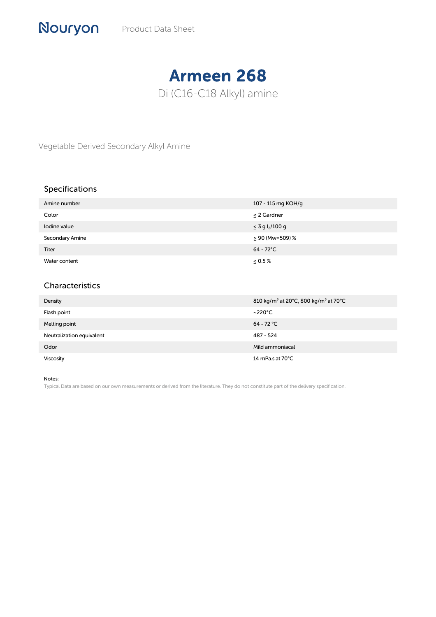## Armeen 268 Di (C16-C18 Alkyl) amine

Vegetable Derived Secondary Alkyl Amine

## Specifications

| Amine number    | 107 - 115 mg KOH/g               |
|-----------------|----------------------------------|
| Color           | $\leq$ 2 Gardner                 |
| Iodine value    | $\leq$ 3 g l <sub>2</sub> /100 g |
| Secondary Amine | $\geq 90$ (Mw=509) %             |
| <b>Titer</b>    | $64 - 72^{\circ}$ C              |
| Water content   | $\leq 0.5\%$                     |

## Characteristics

| Density                   | 810 kg/m <sup>3</sup> at 20°C, 800 kg/m <sup>3</sup> at 70°C |
|---------------------------|--------------------------------------------------------------|
| Flash point               | ~220°C                                                       |
| Melting point             | $64 - 72 °C$                                                 |
| Neutralization equivalent | 487 - 524                                                    |
| Odor                      | Mild ammoniacal                                              |
| <b>Viscosity</b>          | 14 mPa.s at $70^{\circ}$ C                                   |

Notes:

Typical Data are based on our own measurements or derived from the literature. They do not constitute part of the delivery specification.